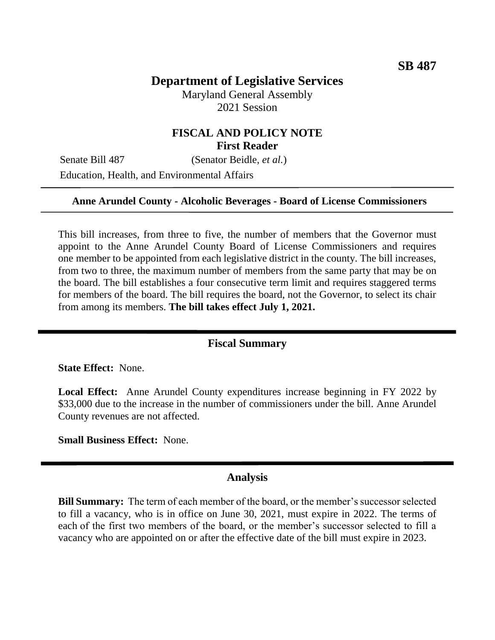# **Department of Legislative Services**

Maryland General Assembly 2021 Session

## **FISCAL AND POLICY NOTE First Reader**

Senate Bill 487 (Senator Beidle, *et al.*)

Education, Health, and Environmental Affairs

### **Anne Arundel County - Alcoholic Beverages - Board of License Commissioners**

This bill increases, from three to five, the number of members that the Governor must appoint to the Anne Arundel County Board of License Commissioners and requires one member to be appointed from each legislative district in the county. The bill increases, from two to three, the maximum number of members from the same party that may be on the board. The bill establishes a four consecutive term limit and requires staggered terms for members of the board. The bill requires the board, not the Governor, to select its chair from among its members. **The bill takes effect July 1, 2021.**

#### **Fiscal Summary**

**State Effect:** None.

**Local Effect:** Anne Arundel County expenditures increase beginning in FY 2022 by \$33,000 due to the increase in the number of commissioners under the bill. Anne Arundel County revenues are not affected.

**Small Business Effect:** None.

#### **Analysis**

**Bill Summary:** The term of each member of the board, or the member's successor selected to fill a vacancy, who is in office on June 30, 2021, must expire in 2022. The terms of each of the first two members of the board, or the member's successor selected to fill a vacancy who are appointed on or after the effective date of the bill must expire in 2023.